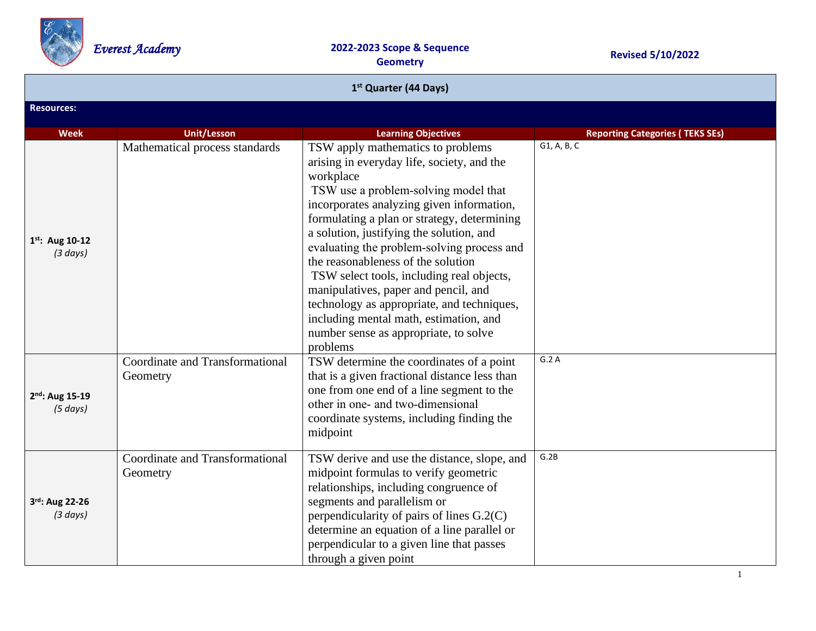

| 1 <sup>st</sup> Quarter (44 Days)    |                                                    |                                                                                                                                                                                                                                                                                                                                                                                                                                                                                                                                                                                                    |                                        |  |  |
|--------------------------------------|----------------------------------------------------|----------------------------------------------------------------------------------------------------------------------------------------------------------------------------------------------------------------------------------------------------------------------------------------------------------------------------------------------------------------------------------------------------------------------------------------------------------------------------------------------------------------------------------------------------------------------------------------------------|----------------------------------------|--|--|
| <b>Resources:</b>                    |                                                    |                                                                                                                                                                                                                                                                                                                                                                                                                                                                                                                                                                                                    |                                        |  |  |
| <b>Week</b>                          | <b>Unit/Lesson</b>                                 | <b>Learning Objectives</b>                                                                                                                                                                                                                                                                                                                                                                                                                                                                                                                                                                         | <b>Reporting Categories (TEKS SEs)</b> |  |  |
| $1^{st}$ : Aug 10-12<br>(3 days)     | Mathematical process standards                     | TSW apply mathematics to problems<br>arising in everyday life, society, and the<br>workplace<br>TSW use a problem-solving model that<br>incorporates analyzing given information,<br>formulating a plan or strategy, determining<br>a solution, justifying the solution, and<br>evaluating the problem-solving process and<br>the reasonableness of the solution<br>TSW select tools, including real objects,<br>manipulatives, paper and pencil, and<br>technology as appropriate, and techniques,<br>including mental math, estimation, and<br>number sense as appropriate, to solve<br>problems | G1, A, B, C                            |  |  |
| 2nd: Aug 15-19<br>(5 days)           | <b>Coordinate and Transformational</b><br>Geometry | TSW determine the coordinates of a point<br>that is a given fractional distance less than<br>one from one end of a line segment to the<br>other in one- and two-dimensional<br>coordinate systems, including finding the<br>midpoint                                                                                                                                                                                                                                                                                                                                                               | G.2A                                   |  |  |
| 3rd: Aug 22-26<br>$(3 \text{ days})$ | Coordinate and Transformational<br>Geometry        | TSW derive and use the distance, slope, and<br>midpoint formulas to verify geometric<br>relationships, including congruence of<br>segments and parallelism or<br>perpendicularity of pairs of lines G.2(C)<br>determine an equation of a line parallel or<br>perpendicular to a given line that passes<br>through a given point                                                                                                                                                                                                                                                                    | G.2B                                   |  |  |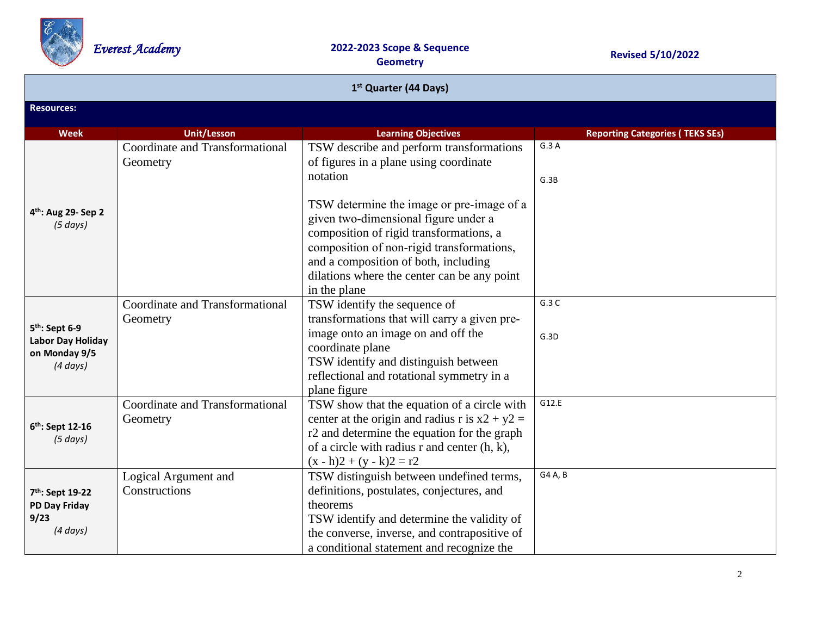

| 1 <sup>st</sup> Quarter (44 Days)                                                 |                                                    |                                                                                                                                                                                                                                                                                  |                                        |  |
|-----------------------------------------------------------------------------------|----------------------------------------------------|----------------------------------------------------------------------------------------------------------------------------------------------------------------------------------------------------------------------------------------------------------------------------------|----------------------------------------|--|
| <b>Resources:</b>                                                                 |                                                    |                                                                                                                                                                                                                                                                                  |                                        |  |
| <b>Week</b>                                                                       | <b>Unit/Lesson</b>                                 | <b>Learning Objectives</b>                                                                                                                                                                                                                                                       | <b>Reporting Categories (TEKS SEs)</b> |  |
|                                                                                   | <b>Coordinate and Transformational</b><br>Geometry | TSW describe and perform transformations<br>of figures in a plane using coordinate<br>notation                                                                                                                                                                                   | G.3A<br>G.3B                           |  |
| 4 <sup>th</sup> : Aug 29- Sep 2<br>(5 days)                                       |                                                    | TSW determine the image or pre-image of a<br>given two-dimensional figure under a<br>composition of rigid transformations, a<br>composition of non-rigid transformations,<br>and a composition of both, including<br>dilations where the center can be any point<br>in the plane |                                        |  |
| 5 <sup>th</sup> : Sept 6-9<br>Labor Day Holiday<br>on Monday 9/5<br>$(4 \, days)$ | Coordinate and Transformational<br>Geometry        | TSW identify the sequence of<br>transformations that will carry a given pre-<br>image onto an image on and off the<br>coordinate plane<br>TSW identify and distinguish between<br>reflectional and rotational symmetry in a<br>plane figure                                      | G.3C<br>G.3D                           |  |
| 6 <sup>th</sup> : Sept 12-16<br>(5 days)                                          | Coordinate and Transformational<br>Geometry        | TSW show that the equation of a circle with<br>center at the origin and radius r is $x2 + y2 =$<br>r2 and determine the equation for the graph<br>of a circle with radius r and center $(h, k)$ ,<br>$(x - h)2 + (y - k)2 = r2$                                                  | G12.E                                  |  |
| 7 <sup>th</sup> : Sept 19-22<br>PD Day Friday<br>9/23<br>$(4 \, days)$            | Logical Argument and<br>Constructions              | TSW distinguish between undefined terms,<br>definitions, postulates, conjectures, and<br>theorems<br>TSW identify and determine the validity of<br>the converse, inverse, and contrapositive of<br>a conditional statement and recognize the                                     | G4 A, B                                |  |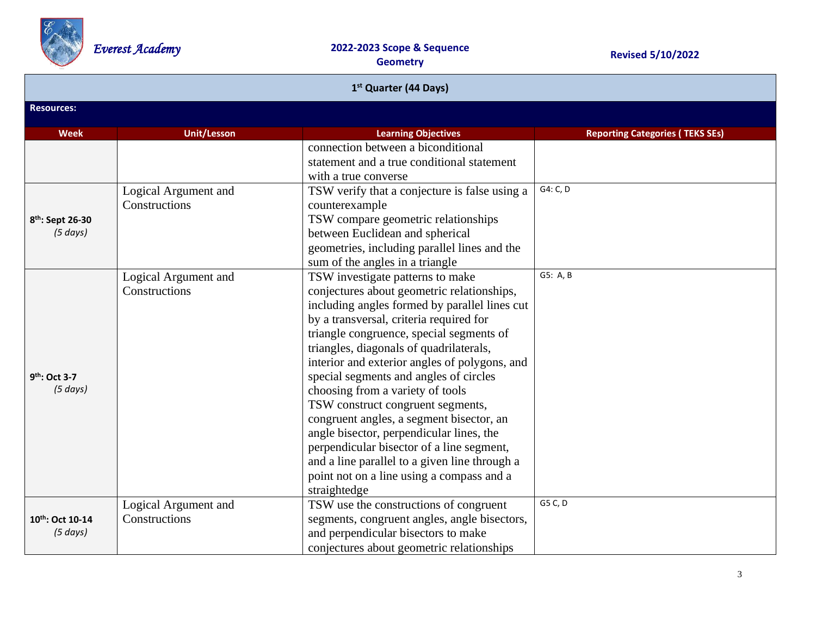

| 1 <sup>st</sup> Quarter (44 Days) |                                       |                                                                                                                                                                                                                                                                                                                                                                                                                                                                                                                                                                                                                                                                                          |                                        |  |  |
|-----------------------------------|---------------------------------------|------------------------------------------------------------------------------------------------------------------------------------------------------------------------------------------------------------------------------------------------------------------------------------------------------------------------------------------------------------------------------------------------------------------------------------------------------------------------------------------------------------------------------------------------------------------------------------------------------------------------------------------------------------------------------------------|----------------------------------------|--|--|
| <b>Resources:</b>                 |                                       |                                                                                                                                                                                                                                                                                                                                                                                                                                                                                                                                                                                                                                                                                          |                                        |  |  |
| <b>Week</b>                       | <b>Unit/Lesson</b>                    | <b>Learning Objectives</b>                                                                                                                                                                                                                                                                                                                                                                                                                                                                                                                                                                                                                                                               | <b>Reporting Categories (TEKS SEs)</b> |  |  |
| 8th: Sept 26-30<br>(5 days)       | Logical Argument and<br>Constructions | connection between a biconditional<br>statement and a true conditional statement<br>with a true converse<br>TSW verify that a conjecture is false using a<br>counterexample<br>TSW compare geometric relationships<br>between Euclidean and spherical                                                                                                                                                                                                                                                                                                                                                                                                                                    | G4: C, D                               |  |  |
|                                   |                                       | geometries, including parallel lines and the<br>sum of the angles in a triangle                                                                                                                                                                                                                                                                                                                                                                                                                                                                                                                                                                                                          |                                        |  |  |
| 9th: Oct 3-7<br>(5 days)          | Logical Argument and<br>Constructions | TSW investigate patterns to make<br>conjectures about geometric relationships,<br>including angles formed by parallel lines cut<br>by a transversal, criteria required for<br>triangle congruence, special segments of<br>triangles, diagonals of quadrilaterals,<br>interior and exterior angles of polygons, and<br>special segments and angles of circles<br>choosing from a variety of tools<br>TSW construct congruent segments,<br>congruent angles, a segment bisector, an<br>angle bisector, perpendicular lines, the<br>perpendicular bisector of a line segment,<br>and a line parallel to a given line through a<br>point not on a line using a compass and a<br>straightedge | G5: A, B                               |  |  |
| 10th: Oct 10-14<br>(5 days)       | Logical Argument and<br>Constructions | TSW use the constructions of congruent<br>segments, congruent angles, angle bisectors,<br>and perpendicular bisectors to make<br>conjectures about geometric relationships                                                                                                                                                                                                                                                                                                                                                                                                                                                                                                               | G5 C, D                                |  |  |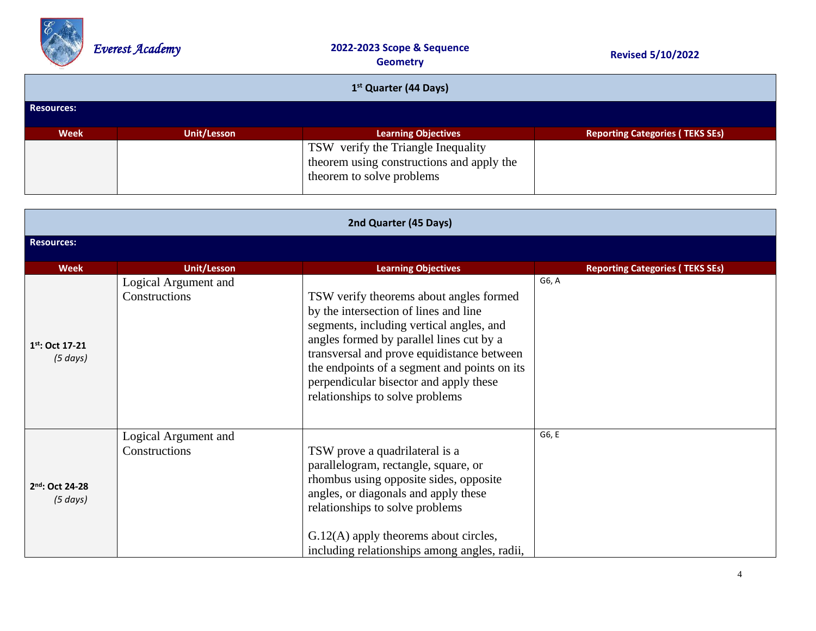

| 1 <sup>st</sup> Quarter (44 Days) |                                           |                                                                                                              |                                        |  |
|-----------------------------------|-------------------------------------------|--------------------------------------------------------------------------------------------------------------|----------------------------------------|--|
| <b>Resources:</b>                 |                                           |                                                                                                              |                                        |  |
| <b>Week</b>                       | Unit/Lesson<br><b>Learning Objectives</b> |                                                                                                              | <b>Reporting Categories (TEKS SEs)</b> |  |
|                                   |                                           | TSW verify the Triangle Inequality<br>theorem using constructions and apply the<br>theorem to solve problems |                                        |  |

| 2nd Quarter (45 Days)            |                                              |                                                                                                                                                                                                                                                                                                                                                     |                                        |  |  |  |
|----------------------------------|----------------------------------------------|-----------------------------------------------------------------------------------------------------------------------------------------------------------------------------------------------------------------------------------------------------------------------------------------------------------------------------------------------------|----------------------------------------|--|--|--|
| <b>Resources:</b>                |                                              |                                                                                                                                                                                                                                                                                                                                                     |                                        |  |  |  |
| <b>Week</b>                      | <b>Unit/Lesson</b>                           | <b>Learning Objectives</b>                                                                                                                                                                                                                                                                                                                          | <b>Reporting Categories (TEKS SEs)</b> |  |  |  |
| $1^{st}$ : Oct 17-21<br>(5 days) | Logical Argument and<br>Constructions        | TSW verify theorems about angles formed<br>by the intersection of lines and line<br>segments, including vertical angles, and<br>angles formed by parallel lines cut by a<br>transversal and prove equidistance between<br>the endpoints of a segment and points on its<br>perpendicular bisector and apply these<br>relationships to solve problems | G6, A                                  |  |  |  |
| 2nd: Oct 24-28<br>(5 days)       | Logical Argument and<br><b>Constructions</b> | TSW prove a quadrilateral is a<br>parallelogram, rectangle, square, or<br>rhombus using opposite sides, opposite<br>angles, or diagonals and apply these<br>relationships to solve problems<br>$G.12(A)$ apply theorems about circles,<br>including relationships among angles, radii,                                                              | G6, E                                  |  |  |  |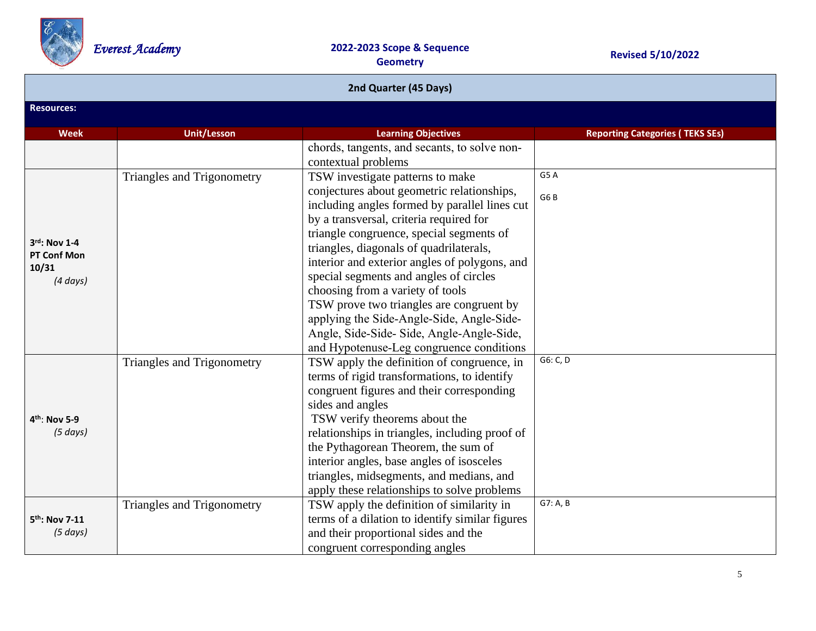

| 2nd Quarter (45 Days)                                 |                            |                                                                                                                                                                                                                                                                                                                                                                                                                                                                                                                                                                                   |                                        |  |  |
|-------------------------------------------------------|----------------------------|-----------------------------------------------------------------------------------------------------------------------------------------------------------------------------------------------------------------------------------------------------------------------------------------------------------------------------------------------------------------------------------------------------------------------------------------------------------------------------------------------------------------------------------------------------------------------------------|----------------------------------------|--|--|
| <b>Resources:</b>                                     |                            |                                                                                                                                                                                                                                                                                                                                                                                                                                                                                                                                                                                   |                                        |  |  |
| <b>Week</b>                                           | <b>Unit/Lesson</b>         | <b>Learning Objectives</b>                                                                                                                                                                                                                                                                                                                                                                                                                                                                                                                                                        | <b>Reporting Categories (TEKS SEs)</b> |  |  |
|                                                       |                            | chords, tangents, and secants, to solve non-<br>contextual problems                                                                                                                                                                                                                                                                                                                                                                                                                                                                                                               |                                        |  |  |
| 3rd: Nov 1-4<br>PT Conf Mon<br>10/31<br>$(4 \, days)$ | Triangles and Trigonometry | TSW investigate patterns to make<br>conjectures about geometric relationships,<br>including angles formed by parallel lines cut<br>by a transversal, criteria required for<br>triangle congruence, special segments of<br>triangles, diagonals of quadrilaterals,<br>interior and exterior angles of polygons, and<br>special segments and angles of circles<br>choosing from a variety of tools<br>TSW prove two triangles are congruent by<br>applying the Side-Angle-Side, Angle-Side-<br>Angle, Side-Side-Side, Angle-Angle-Side,<br>and Hypotenuse-Leg congruence conditions | G5A<br>G6B                             |  |  |
| 4 <sup>th</sup> : Nov 5-9<br>(5 days)                 | Triangles and Trigonometry | TSW apply the definition of congruence, in<br>terms of rigid transformations, to identify<br>congruent figures and their corresponding<br>sides and angles<br>TSW verify theorems about the<br>relationships in triangles, including proof of<br>the Pythagorean Theorem, the sum of<br>interior angles, base angles of isosceles<br>triangles, midsegments, and medians, and<br>apply these relationships to solve problems                                                                                                                                                      | G6: C, D                               |  |  |
| 5 <sup>th</sup> : Nov 7-11<br>(5 days)                | Triangles and Trigonometry | TSW apply the definition of similarity in<br>terms of a dilation to identify similar figures<br>and their proportional sides and the<br>congruent corresponding angles                                                                                                                                                                                                                                                                                                                                                                                                            | G7: A, B                               |  |  |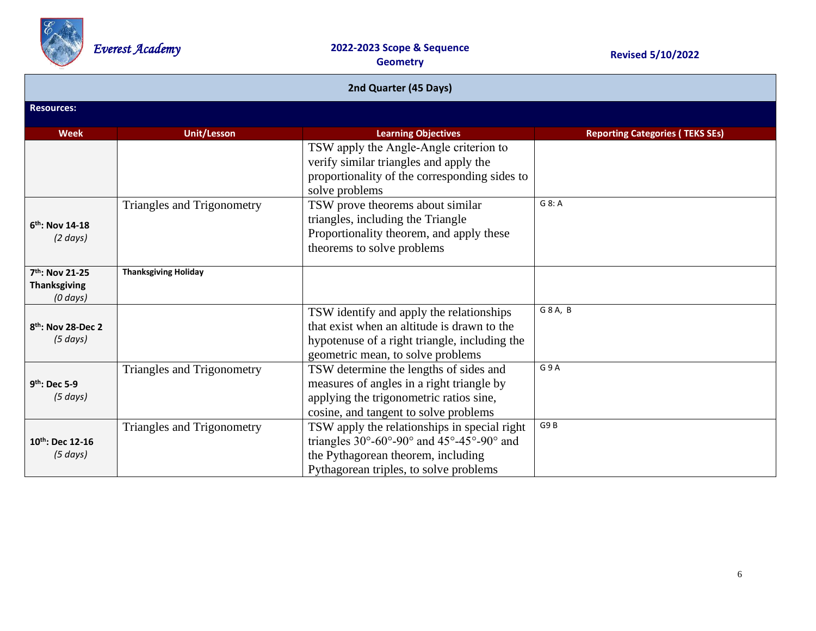

| 2nd Quarter (45 Days)                               |                             |                                                                                                                                                                                               |                                        |  |  |
|-----------------------------------------------------|-----------------------------|-----------------------------------------------------------------------------------------------------------------------------------------------------------------------------------------------|----------------------------------------|--|--|
| <b>Resources:</b>                                   |                             |                                                                                                                                                                                               |                                        |  |  |
| <b>Week</b>                                         | <b>Unit/Lesson</b>          | <b>Learning Objectives</b>                                                                                                                                                                    | <b>Reporting Categories (TEKS SEs)</b> |  |  |
|                                                     |                             | TSW apply the Angle-Angle criterion to<br>verify similar triangles and apply the<br>proportionality of the corresponding sides to<br>solve problems                                           |                                        |  |  |
| $6th$ : Nov 14-18<br>$(2 \text{ days})$             | Triangles and Trigonometry  | TSW prove theorems about similar<br>triangles, including the Triangle<br>Proportionality theorem, and apply these<br>theorems to solve problems                                               | G 8: A                                 |  |  |
| 7th: Nov 21-25<br><b>Thanksgiving</b><br>$(0$ days) | <b>Thanksgiving Holiday</b> |                                                                                                                                                                                               |                                        |  |  |
| 8 <sup>th</sup> : Nov 28-Dec 2<br>(5 days)          |                             | TSW identify and apply the relationships<br>that exist when an altitude is drawn to the<br>hypotenuse of a right triangle, including the<br>geometric mean, to solve problems                 | G 8 A, B                               |  |  |
| $9th$ : Dec 5-9<br>$(5 \, days)$                    | Triangles and Trigonometry  | TSW determine the lengths of sides and<br>measures of angles in a right triangle by<br>applying the trigonometric ratios sine,<br>cosine, and tangent to solve problems                       | G9A                                    |  |  |
| $10^{th}$ : Dec 12-16<br>(5 days)                   | Triangles and Trigonometry  | TSW apply the relationships in special right<br>triangles $30^{\circ}$ -60°-90° and $45^{\circ}$ -45°-90° and<br>the Pythagorean theorem, including<br>Pythagorean triples, to solve problems | G9B                                    |  |  |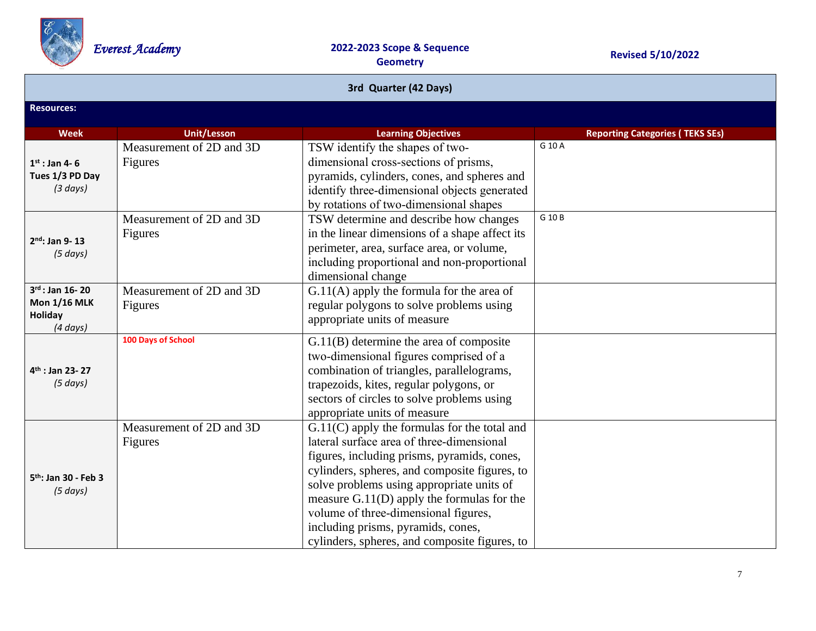

| 3rd Quarter (42 Days)                                                          |                                            |                                                                                                                                                                                                                                                                                                                                                                                                                         |                                        |  |  |
|--------------------------------------------------------------------------------|--------------------------------------------|-------------------------------------------------------------------------------------------------------------------------------------------------------------------------------------------------------------------------------------------------------------------------------------------------------------------------------------------------------------------------------------------------------------------------|----------------------------------------|--|--|
| <b>Resources:</b>                                                              |                                            |                                                                                                                                                                                                                                                                                                                                                                                                                         |                                        |  |  |
| <b>Week</b>                                                                    | <b>Unit/Lesson</b>                         | <b>Learning Objectives</b>                                                                                                                                                                                                                                                                                                                                                                                              | <b>Reporting Categories (TEKS SEs)</b> |  |  |
| $1st$ : Jan 4-6<br>Tues 1/3 PD Day<br>(3 days)                                 | Measurement of 2D and 3D<br>Figures        | TSW identify the shapes of two-<br>dimensional cross-sections of prisms,<br>pyramids, cylinders, cones, and spheres and<br>identify three-dimensional objects generated<br>by rotations of two-dimensional shapes                                                                                                                                                                                                       | G 10 A                                 |  |  |
| $2nd$ : Jan 9-13<br>(5 days)                                                   | Measurement of 2D and 3D<br>Figures        | TSW determine and describe how changes<br>in the linear dimensions of a shape affect its<br>perimeter, area, surface area, or volume,<br>including proportional and non-proportional<br>dimensional change                                                                                                                                                                                                              | G 10 B                                 |  |  |
| $3^{rd}$ : Jan 16-20<br><b>Mon 1/16 MLK</b><br><b>Holiday</b><br>$(4 \, days)$ | Measurement of 2D and 3D<br><b>Figures</b> | $G.11(A)$ apply the formula for the area of<br>regular polygons to solve problems using<br>appropriate units of measure                                                                                                                                                                                                                                                                                                 |                                        |  |  |
| 4 <sup>th</sup> : Jan 23-27<br>(5 days)                                        | 100 Days of School                         | $G.11(B)$ determine the area of composite<br>two-dimensional figures comprised of a<br>combination of triangles, parallelograms,<br>trapezoids, kites, regular polygons, or<br>sectors of circles to solve problems using<br>appropriate units of measure                                                                                                                                                               |                                        |  |  |
| 5 <sup>th</sup> : Jan 30 - Feb 3<br>(5 days)                                   | Measurement of 2D and 3D<br>Figures        | $G.11(C)$ apply the formulas for the total and<br>lateral surface area of three-dimensional<br>figures, including prisms, pyramids, cones,<br>cylinders, spheres, and composite figures, to<br>solve problems using appropriate units of<br>measure $G.11(D)$ apply the formulas for the<br>volume of three-dimensional figures,<br>including prisms, pyramids, cones,<br>cylinders, spheres, and composite figures, to |                                        |  |  |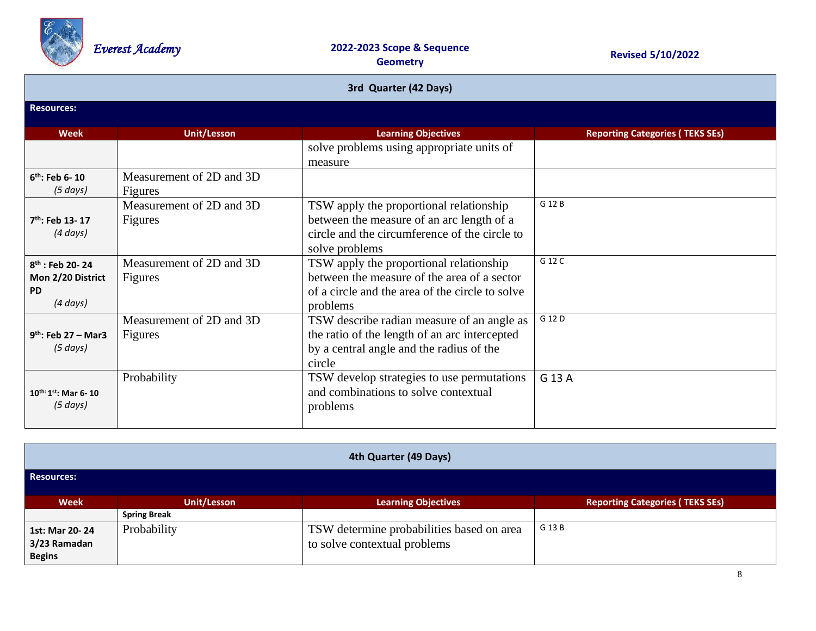

| 3rd Quarter (42 Days)       |                          |                                                 |                                        |  |
|-----------------------------|--------------------------|-------------------------------------------------|----------------------------------------|--|
| <b>Resources:</b>           |                          |                                                 |                                        |  |
| <b>Week</b>                 | <b>Unit/Lesson</b>       | <b>Learning Objectives</b>                      | <b>Reporting Categories (TEKS SEs)</b> |  |
|                             |                          | solve problems using appropriate units of       |                                        |  |
|                             |                          | measure                                         |                                        |  |
| $6th$ : Feb 6-10            | Measurement of 2D and 3D |                                                 |                                        |  |
| (5 days)                    | Figures                  |                                                 |                                        |  |
|                             | Measurement of 2D and 3D | TSW apply the proportional relationship         | G 12 B                                 |  |
| $7th$ : Feb 13-17           | Figures                  | between the measure of an arc length of a       |                                        |  |
| $(4 \, days)$               |                          | circle and the circumference of the circle to   |                                        |  |
|                             |                          | solve problems                                  |                                        |  |
| $8^{th}$ : Feb 20-24        | Measurement of 2D and 3D | TSW apply the proportional relationship         | G 12 C                                 |  |
| Mon 2/20 District           | Figures                  | between the measure of the area of a sector     |                                        |  |
| <b>PD</b>                   |                          | of a circle and the area of the circle to solve |                                        |  |
| $(4 \, days)$               |                          | problems                                        |                                        |  |
|                             | Measurement of 2D and 3D | TSW describe radian measure of an angle as      | G 12 D                                 |  |
| $9^{th}$ : Feb 27 – Mar3    | Figures                  | the ratio of the length of an arc intercepted   |                                        |  |
| $(5 \, days)$               |                          | by a central angle and the radius of the        |                                        |  |
|                             |                          | circle                                          |                                        |  |
|                             | Probability              | TSW develop strategies to use permutations      | G 13 A                                 |  |
| $10^{th:}1^{st}$ : Mar 6-10 |                          | and combinations to solve contextual            |                                        |  |
| $(5 \text{ days})$          |                          | problems                                        |                                        |  |
|                             |                          |                                                 |                                        |  |

| 4th Quarter (49 Days)                           |                     |                                                                           |        |  |  |
|-------------------------------------------------|---------------------|---------------------------------------------------------------------------|--------|--|--|
| <b>Resources:</b>                               |                     |                                                                           |        |  |  |
| <b>Week</b>                                     | <b>Unit/Lesson</b>  | <b>Reporting Categories (TEKS SEs)</b><br><b>Learning Objectives</b>      |        |  |  |
|                                                 | <b>Spring Break</b> |                                                                           |        |  |  |
| 1st: Mar 20-24<br>3/23 Ramadan<br><b>Begins</b> | Probability         | TSW determine probabilities based on area<br>to solve contextual problems | G 13 B |  |  |